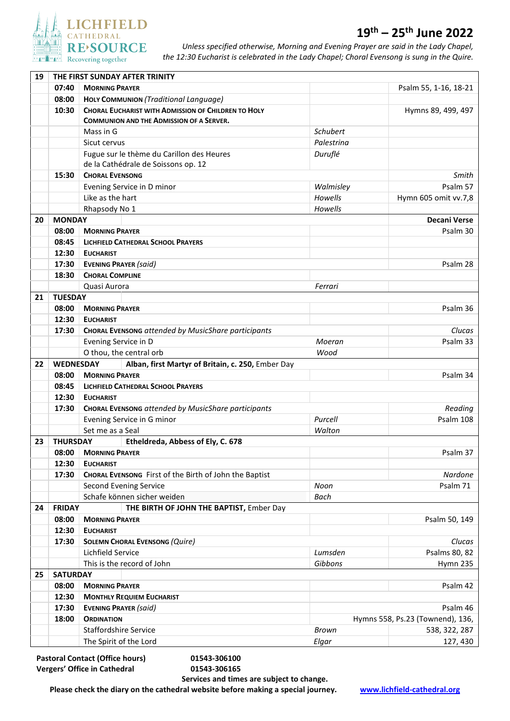

## **19th – 25th June 2022**

*Unless specified otherwise, Morning and Evening Prayer are said in the Lady Chapel, the 12:30 Eucharist is celebrated in the Lady Chapel; Choral Evensong is sung in the Quire.* 

| 07:40<br><b>MORNING PRAYER</b><br>Psalm 55, 1-16, 18-21<br>08:00<br>HOLY COMMUNION (Traditional Language)<br><b>CHORAL EUCHARIST WITH ADMISSION OF CHILDREN TO HOLY</b><br>10:30<br>Hymns 89, 499, 497<br><b>COMMUNION AND THE ADMISSION OF A SERVER.</b><br>Schubert<br>Mass in G<br>Palestrina<br>Sicut cervus<br>Fugue sur le thème du Carillon des Heures<br>Duruflé<br>de la Cathédrale de Soissons op. 12<br>15:30<br><b>CHORAL EVENSONG</b><br>Smith<br>Psalm 57<br>Evening Service in D minor<br>Walmisley<br>Like as the hart<br>Howells<br>Hymn 605 omit vv.7,8<br>Howells<br>Rhapsody No 1<br><b>MONDAY</b><br><b>Decani Verse</b><br>20<br>Psalm 30<br>08:00<br><b>MORNING PRAYER</b><br>08:45<br><b>LICHFIELD CATHEDRAL SCHOOL PRAYERS</b><br>12:30<br><b>EUCHARIST</b><br>17:30<br><b>EVENING PRAYER (said)</b><br>Psalm 28<br>18:30<br><b>CHORAL COMPLINE</b><br>Quasi Aurora<br>Ferrari<br><b>TUESDAY</b><br>21<br>08:00<br>Psalm 36<br><b>MORNING PRAYER</b><br>12:30<br><b>EUCHARIST</b><br>17:30<br><b>CHORAL EVENSONG attended by MusicShare participants</b><br>Clucas<br>Evening Service in D<br>Moeran<br>Psalm 33<br>O thou, the central orb<br>Wood<br><b>WEDNESDAY</b><br>Alban, first Martyr of Britain, c. 250, Ember Day<br>22<br>Psalm 34<br>08:00<br><b>MORNING PRAYER</b><br>08:45<br><b>LICHFIELD CATHEDRAL SCHOOL PRAYERS</b><br>12:30<br><b>EUCHARIST</b><br><b>CHORAL EVENSONG attended by MusicShare participants</b><br>17:30<br>Reading<br>Evening Service in G minor<br>Purcell<br>Psalm 108<br>Set me as a Seal<br>Walton<br><b>THURSDAY</b><br>Etheldreda, Abbess of Ely, C. 678<br>23<br>08:00<br><b>MORNING PRAYER</b><br>Psalm 37<br>12:30<br><b>EUCHARIST</b><br>17:30<br>Nardone<br>CHORAL EVENSONG First of the Birth of John the Baptist<br>Second Evening Service<br>Psalm 71<br>Noon<br>Schafe können sicher weiden<br>Bach<br><b>FRIDAY</b><br>THE BIRTH OF JOHN THE BAPTIST, Ember Day<br>24<br>08:00<br><b>MORNING PRAYER</b><br>Psalm 50, 149<br>12:30<br><b>EUCHARIST</b><br>17:30<br><b>SOLEMN CHORAL EVENSONG (Quire)</b><br>Clucas<br>Lichfield Service<br>Lumsden<br>Psalms 80, 82<br>This is the record of John<br>Gibbons<br>Hymn 235<br><b>SATURDAY</b><br>25<br>08:00<br><b>MORNING PRAYER</b><br>Psalm 42<br>12:30<br><b>MONTHLY REQUIEM EUCHARIST</b><br>17:30<br><b>EVENING PRAYER (said)</b><br>Psalm 46<br>18:00<br><b>ORDINATION</b><br>Hymns 558, Ps.23 (Townend), 136,<br><b>Staffordshire Service</b><br><b>Brown</b><br>538, 322, 287<br>The Spirit of the Lord<br>Elgar<br>127, 430 | 19 | THE FIRST SUNDAY AFTER TRINITY |  |  |  |  |  |  |  |
|----------------------------------------------------------------------------------------------------------------------------------------------------------------------------------------------------------------------------------------------------------------------------------------------------------------------------------------------------------------------------------------------------------------------------------------------------------------------------------------------------------------------------------------------------------------------------------------------------------------------------------------------------------------------------------------------------------------------------------------------------------------------------------------------------------------------------------------------------------------------------------------------------------------------------------------------------------------------------------------------------------------------------------------------------------------------------------------------------------------------------------------------------------------------------------------------------------------------------------------------------------------------------------------------------------------------------------------------------------------------------------------------------------------------------------------------------------------------------------------------------------------------------------------------------------------------------------------------------------------------------------------------------------------------------------------------------------------------------------------------------------------------------------------------------------------------------------------------------------------------------------------------------------------------------------------------------------------------------------------------------------------------------------------------------------------------------------------------------------------------------------------------------------------------------------------------------------------------------------------------------------------------------------------------------------------------------------------------------------------------------------------------------------------------------------------------------------------------------------------------------------------------------------------------------------------|----|--------------------------------|--|--|--|--|--|--|--|
|                                                                                                                                                                                                                                                                                                                                                                                                                                                                                                                                                                                                                                                                                                                                                                                                                                                                                                                                                                                                                                                                                                                                                                                                                                                                                                                                                                                                                                                                                                                                                                                                                                                                                                                                                                                                                                                                                                                                                                                                                                                                                                                                                                                                                                                                                                                                                                                                                                                                                                                                                                |    |                                |  |  |  |  |  |  |  |
|                                                                                                                                                                                                                                                                                                                                                                                                                                                                                                                                                                                                                                                                                                                                                                                                                                                                                                                                                                                                                                                                                                                                                                                                                                                                                                                                                                                                                                                                                                                                                                                                                                                                                                                                                                                                                                                                                                                                                                                                                                                                                                                                                                                                                                                                                                                                                                                                                                                                                                                                                                |    |                                |  |  |  |  |  |  |  |
|                                                                                                                                                                                                                                                                                                                                                                                                                                                                                                                                                                                                                                                                                                                                                                                                                                                                                                                                                                                                                                                                                                                                                                                                                                                                                                                                                                                                                                                                                                                                                                                                                                                                                                                                                                                                                                                                                                                                                                                                                                                                                                                                                                                                                                                                                                                                                                                                                                                                                                                                                                |    |                                |  |  |  |  |  |  |  |
|                                                                                                                                                                                                                                                                                                                                                                                                                                                                                                                                                                                                                                                                                                                                                                                                                                                                                                                                                                                                                                                                                                                                                                                                                                                                                                                                                                                                                                                                                                                                                                                                                                                                                                                                                                                                                                                                                                                                                                                                                                                                                                                                                                                                                                                                                                                                                                                                                                                                                                                                                                |    |                                |  |  |  |  |  |  |  |
|                                                                                                                                                                                                                                                                                                                                                                                                                                                                                                                                                                                                                                                                                                                                                                                                                                                                                                                                                                                                                                                                                                                                                                                                                                                                                                                                                                                                                                                                                                                                                                                                                                                                                                                                                                                                                                                                                                                                                                                                                                                                                                                                                                                                                                                                                                                                                                                                                                                                                                                                                                |    |                                |  |  |  |  |  |  |  |
|                                                                                                                                                                                                                                                                                                                                                                                                                                                                                                                                                                                                                                                                                                                                                                                                                                                                                                                                                                                                                                                                                                                                                                                                                                                                                                                                                                                                                                                                                                                                                                                                                                                                                                                                                                                                                                                                                                                                                                                                                                                                                                                                                                                                                                                                                                                                                                                                                                                                                                                                                                |    |                                |  |  |  |  |  |  |  |
|                                                                                                                                                                                                                                                                                                                                                                                                                                                                                                                                                                                                                                                                                                                                                                                                                                                                                                                                                                                                                                                                                                                                                                                                                                                                                                                                                                                                                                                                                                                                                                                                                                                                                                                                                                                                                                                                                                                                                                                                                                                                                                                                                                                                                                                                                                                                                                                                                                                                                                                                                                |    |                                |  |  |  |  |  |  |  |
|                                                                                                                                                                                                                                                                                                                                                                                                                                                                                                                                                                                                                                                                                                                                                                                                                                                                                                                                                                                                                                                                                                                                                                                                                                                                                                                                                                                                                                                                                                                                                                                                                                                                                                                                                                                                                                                                                                                                                                                                                                                                                                                                                                                                                                                                                                                                                                                                                                                                                                                                                                |    |                                |  |  |  |  |  |  |  |
|                                                                                                                                                                                                                                                                                                                                                                                                                                                                                                                                                                                                                                                                                                                                                                                                                                                                                                                                                                                                                                                                                                                                                                                                                                                                                                                                                                                                                                                                                                                                                                                                                                                                                                                                                                                                                                                                                                                                                                                                                                                                                                                                                                                                                                                                                                                                                                                                                                                                                                                                                                |    |                                |  |  |  |  |  |  |  |
|                                                                                                                                                                                                                                                                                                                                                                                                                                                                                                                                                                                                                                                                                                                                                                                                                                                                                                                                                                                                                                                                                                                                                                                                                                                                                                                                                                                                                                                                                                                                                                                                                                                                                                                                                                                                                                                                                                                                                                                                                                                                                                                                                                                                                                                                                                                                                                                                                                                                                                                                                                |    |                                |  |  |  |  |  |  |  |
|                                                                                                                                                                                                                                                                                                                                                                                                                                                                                                                                                                                                                                                                                                                                                                                                                                                                                                                                                                                                                                                                                                                                                                                                                                                                                                                                                                                                                                                                                                                                                                                                                                                                                                                                                                                                                                                                                                                                                                                                                                                                                                                                                                                                                                                                                                                                                                                                                                                                                                                                                                |    |                                |  |  |  |  |  |  |  |
|                                                                                                                                                                                                                                                                                                                                                                                                                                                                                                                                                                                                                                                                                                                                                                                                                                                                                                                                                                                                                                                                                                                                                                                                                                                                                                                                                                                                                                                                                                                                                                                                                                                                                                                                                                                                                                                                                                                                                                                                                                                                                                                                                                                                                                                                                                                                                                                                                                                                                                                                                                |    |                                |  |  |  |  |  |  |  |
|                                                                                                                                                                                                                                                                                                                                                                                                                                                                                                                                                                                                                                                                                                                                                                                                                                                                                                                                                                                                                                                                                                                                                                                                                                                                                                                                                                                                                                                                                                                                                                                                                                                                                                                                                                                                                                                                                                                                                                                                                                                                                                                                                                                                                                                                                                                                                                                                                                                                                                                                                                |    |                                |  |  |  |  |  |  |  |
|                                                                                                                                                                                                                                                                                                                                                                                                                                                                                                                                                                                                                                                                                                                                                                                                                                                                                                                                                                                                                                                                                                                                                                                                                                                                                                                                                                                                                                                                                                                                                                                                                                                                                                                                                                                                                                                                                                                                                                                                                                                                                                                                                                                                                                                                                                                                                                                                                                                                                                                                                                |    |                                |  |  |  |  |  |  |  |
|                                                                                                                                                                                                                                                                                                                                                                                                                                                                                                                                                                                                                                                                                                                                                                                                                                                                                                                                                                                                                                                                                                                                                                                                                                                                                                                                                                                                                                                                                                                                                                                                                                                                                                                                                                                                                                                                                                                                                                                                                                                                                                                                                                                                                                                                                                                                                                                                                                                                                                                                                                |    |                                |  |  |  |  |  |  |  |
|                                                                                                                                                                                                                                                                                                                                                                                                                                                                                                                                                                                                                                                                                                                                                                                                                                                                                                                                                                                                                                                                                                                                                                                                                                                                                                                                                                                                                                                                                                                                                                                                                                                                                                                                                                                                                                                                                                                                                                                                                                                                                                                                                                                                                                                                                                                                                                                                                                                                                                                                                                |    |                                |  |  |  |  |  |  |  |
|                                                                                                                                                                                                                                                                                                                                                                                                                                                                                                                                                                                                                                                                                                                                                                                                                                                                                                                                                                                                                                                                                                                                                                                                                                                                                                                                                                                                                                                                                                                                                                                                                                                                                                                                                                                                                                                                                                                                                                                                                                                                                                                                                                                                                                                                                                                                                                                                                                                                                                                                                                |    |                                |  |  |  |  |  |  |  |
|                                                                                                                                                                                                                                                                                                                                                                                                                                                                                                                                                                                                                                                                                                                                                                                                                                                                                                                                                                                                                                                                                                                                                                                                                                                                                                                                                                                                                                                                                                                                                                                                                                                                                                                                                                                                                                                                                                                                                                                                                                                                                                                                                                                                                                                                                                                                                                                                                                                                                                                                                                |    |                                |  |  |  |  |  |  |  |
|                                                                                                                                                                                                                                                                                                                                                                                                                                                                                                                                                                                                                                                                                                                                                                                                                                                                                                                                                                                                                                                                                                                                                                                                                                                                                                                                                                                                                                                                                                                                                                                                                                                                                                                                                                                                                                                                                                                                                                                                                                                                                                                                                                                                                                                                                                                                                                                                                                                                                                                                                                |    |                                |  |  |  |  |  |  |  |
|                                                                                                                                                                                                                                                                                                                                                                                                                                                                                                                                                                                                                                                                                                                                                                                                                                                                                                                                                                                                                                                                                                                                                                                                                                                                                                                                                                                                                                                                                                                                                                                                                                                                                                                                                                                                                                                                                                                                                                                                                                                                                                                                                                                                                                                                                                                                                                                                                                                                                                                                                                |    |                                |  |  |  |  |  |  |  |
|                                                                                                                                                                                                                                                                                                                                                                                                                                                                                                                                                                                                                                                                                                                                                                                                                                                                                                                                                                                                                                                                                                                                                                                                                                                                                                                                                                                                                                                                                                                                                                                                                                                                                                                                                                                                                                                                                                                                                                                                                                                                                                                                                                                                                                                                                                                                                                                                                                                                                                                                                                |    |                                |  |  |  |  |  |  |  |
|                                                                                                                                                                                                                                                                                                                                                                                                                                                                                                                                                                                                                                                                                                                                                                                                                                                                                                                                                                                                                                                                                                                                                                                                                                                                                                                                                                                                                                                                                                                                                                                                                                                                                                                                                                                                                                                                                                                                                                                                                                                                                                                                                                                                                                                                                                                                                                                                                                                                                                                                                                |    |                                |  |  |  |  |  |  |  |
|                                                                                                                                                                                                                                                                                                                                                                                                                                                                                                                                                                                                                                                                                                                                                                                                                                                                                                                                                                                                                                                                                                                                                                                                                                                                                                                                                                                                                                                                                                                                                                                                                                                                                                                                                                                                                                                                                                                                                                                                                                                                                                                                                                                                                                                                                                                                                                                                                                                                                                                                                                |    |                                |  |  |  |  |  |  |  |
|                                                                                                                                                                                                                                                                                                                                                                                                                                                                                                                                                                                                                                                                                                                                                                                                                                                                                                                                                                                                                                                                                                                                                                                                                                                                                                                                                                                                                                                                                                                                                                                                                                                                                                                                                                                                                                                                                                                                                                                                                                                                                                                                                                                                                                                                                                                                                                                                                                                                                                                                                                |    |                                |  |  |  |  |  |  |  |
|                                                                                                                                                                                                                                                                                                                                                                                                                                                                                                                                                                                                                                                                                                                                                                                                                                                                                                                                                                                                                                                                                                                                                                                                                                                                                                                                                                                                                                                                                                                                                                                                                                                                                                                                                                                                                                                                                                                                                                                                                                                                                                                                                                                                                                                                                                                                                                                                                                                                                                                                                                |    |                                |  |  |  |  |  |  |  |
|                                                                                                                                                                                                                                                                                                                                                                                                                                                                                                                                                                                                                                                                                                                                                                                                                                                                                                                                                                                                                                                                                                                                                                                                                                                                                                                                                                                                                                                                                                                                                                                                                                                                                                                                                                                                                                                                                                                                                                                                                                                                                                                                                                                                                                                                                                                                                                                                                                                                                                                                                                |    |                                |  |  |  |  |  |  |  |
|                                                                                                                                                                                                                                                                                                                                                                                                                                                                                                                                                                                                                                                                                                                                                                                                                                                                                                                                                                                                                                                                                                                                                                                                                                                                                                                                                                                                                                                                                                                                                                                                                                                                                                                                                                                                                                                                                                                                                                                                                                                                                                                                                                                                                                                                                                                                                                                                                                                                                                                                                                |    |                                |  |  |  |  |  |  |  |
|                                                                                                                                                                                                                                                                                                                                                                                                                                                                                                                                                                                                                                                                                                                                                                                                                                                                                                                                                                                                                                                                                                                                                                                                                                                                                                                                                                                                                                                                                                                                                                                                                                                                                                                                                                                                                                                                                                                                                                                                                                                                                                                                                                                                                                                                                                                                                                                                                                                                                                                                                                |    |                                |  |  |  |  |  |  |  |
|                                                                                                                                                                                                                                                                                                                                                                                                                                                                                                                                                                                                                                                                                                                                                                                                                                                                                                                                                                                                                                                                                                                                                                                                                                                                                                                                                                                                                                                                                                                                                                                                                                                                                                                                                                                                                                                                                                                                                                                                                                                                                                                                                                                                                                                                                                                                                                                                                                                                                                                                                                |    |                                |  |  |  |  |  |  |  |
|                                                                                                                                                                                                                                                                                                                                                                                                                                                                                                                                                                                                                                                                                                                                                                                                                                                                                                                                                                                                                                                                                                                                                                                                                                                                                                                                                                                                                                                                                                                                                                                                                                                                                                                                                                                                                                                                                                                                                                                                                                                                                                                                                                                                                                                                                                                                                                                                                                                                                                                                                                |    |                                |  |  |  |  |  |  |  |
|                                                                                                                                                                                                                                                                                                                                                                                                                                                                                                                                                                                                                                                                                                                                                                                                                                                                                                                                                                                                                                                                                                                                                                                                                                                                                                                                                                                                                                                                                                                                                                                                                                                                                                                                                                                                                                                                                                                                                                                                                                                                                                                                                                                                                                                                                                                                                                                                                                                                                                                                                                |    |                                |  |  |  |  |  |  |  |
|                                                                                                                                                                                                                                                                                                                                                                                                                                                                                                                                                                                                                                                                                                                                                                                                                                                                                                                                                                                                                                                                                                                                                                                                                                                                                                                                                                                                                                                                                                                                                                                                                                                                                                                                                                                                                                                                                                                                                                                                                                                                                                                                                                                                                                                                                                                                                                                                                                                                                                                                                                |    |                                |  |  |  |  |  |  |  |
|                                                                                                                                                                                                                                                                                                                                                                                                                                                                                                                                                                                                                                                                                                                                                                                                                                                                                                                                                                                                                                                                                                                                                                                                                                                                                                                                                                                                                                                                                                                                                                                                                                                                                                                                                                                                                                                                                                                                                                                                                                                                                                                                                                                                                                                                                                                                                                                                                                                                                                                                                                |    |                                |  |  |  |  |  |  |  |
|                                                                                                                                                                                                                                                                                                                                                                                                                                                                                                                                                                                                                                                                                                                                                                                                                                                                                                                                                                                                                                                                                                                                                                                                                                                                                                                                                                                                                                                                                                                                                                                                                                                                                                                                                                                                                                                                                                                                                                                                                                                                                                                                                                                                                                                                                                                                                                                                                                                                                                                                                                |    |                                |  |  |  |  |  |  |  |
|                                                                                                                                                                                                                                                                                                                                                                                                                                                                                                                                                                                                                                                                                                                                                                                                                                                                                                                                                                                                                                                                                                                                                                                                                                                                                                                                                                                                                                                                                                                                                                                                                                                                                                                                                                                                                                                                                                                                                                                                                                                                                                                                                                                                                                                                                                                                                                                                                                                                                                                                                                |    |                                |  |  |  |  |  |  |  |
|                                                                                                                                                                                                                                                                                                                                                                                                                                                                                                                                                                                                                                                                                                                                                                                                                                                                                                                                                                                                                                                                                                                                                                                                                                                                                                                                                                                                                                                                                                                                                                                                                                                                                                                                                                                                                                                                                                                                                                                                                                                                                                                                                                                                                                                                                                                                                                                                                                                                                                                                                                |    |                                |  |  |  |  |  |  |  |
|                                                                                                                                                                                                                                                                                                                                                                                                                                                                                                                                                                                                                                                                                                                                                                                                                                                                                                                                                                                                                                                                                                                                                                                                                                                                                                                                                                                                                                                                                                                                                                                                                                                                                                                                                                                                                                                                                                                                                                                                                                                                                                                                                                                                                                                                                                                                                                                                                                                                                                                                                                |    |                                |  |  |  |  |  |  |  |
|                                                                                                                                                                                                                                                                                                                                                                                                                                                                                                                                                                                                                                                                                                                                                                                                                                                                                                                                                                                                                                                                                                                                                                                                                                                                                                                                                                                                                                                                                                                                                                                                                                                                                                                                                                                                                                                                                                                                                                                                                                                                                                                                                                                                                                                                                                                                                                                                                                                                                                                                                                |    |                                |  |  |  |  |  |  |  |
|                                                                                                                                                                                                                                                                                                                                                                                                                                                                                                                                                                                                                                                                                                                                                                                                                                                                                                                                                                                                                                                                                                                                                                                                                                                                                                                                                                                                                                                                                                                                                                                                                                                                                                                                                                                                                                                                                                                                                                                                                                                                                                                                                                                                                                                                                                                                                                                                                                                                                                                                                                |    |                                |  |  |  |  |  |  |  |
|                                                                                                                                                                                                                                                                                                                                                                                                                                                                                                                                                                                                                                                                                                                                                                                                                                                                                                                                                                                                                                                                                                                                                                                                                                                                                                                                                                                                                                                                                                                                                                                                                                                                                                                                                                                                                                                                                                                                                                                                                                                                                                                                                                                                                                                                                                                                                                                                                                                                                                                                                                |    |                                |  |  |  |  |  |  |  |
|                                                                                                                                                                                                                                                                                                                                                                                                                                                                                                                                                                                                                                                                                                                                                                                                                                                                                                                                                                                                                                                                                                                                                                                                                                                                                                                                                                                                                                                                                                                                                                                                                                                                                                                                                                                                                                                                                                                                                                                                                                                                                                                                                                                                                                                                                                                                                                                                                                                                                                                                                                |    |                                |  |  |  |  |  |  |  |
|                                                                                                                                                                                                                                                                                                                                                                                                                                                                                                                                                                                                                                                                                                                                                                                                                                                                                                                                                                                                                                                                                                                                                                                                                                                                                                                                                                                                                                                                                                                                                                                                                                                                                                                                                                                                                                                                                                                                                                                                                                                                                                                                                                                                                                                                                                                                                                                                                                                                                                                                                                |    |                                |  |  |  |  |  |  |  |
|                                                                                                                                                                                                                                                                                                                                                                                                                                                                                                                                                                                                                                                                                                                                                                                                                                                                                                                                                                                                                                                                                                                                                                                                                                                                                                                                                                                                                                                                                                                                                                                                                                                                                                                                                                                                                                                                                                                                                                                                                                                                                                                                                                                                                                                                                                                                                                                                                                                                                                                                                                |    |                                |  |  |  |  |  |  |  |
|                                                                                                                                                                                                                                                                                                                                                                                                                                                                                                                                                                                                                                                                                                                                                                                                                                                                                                                                                                                                                                                                                                                                                                                                                                                                                                                                                                                                                                                                                                                                                                                                                                                                                                                                                                                                                                                                                                                                                                                                                                                                                                                                                                                                                                                                                                                                                                                                                                                                                                                                                                |    |                                |  |  |  |  |  |  |  |
|                                                                                                                                                                                                                                                                                                                                                                                                                                                                                                                                                                                                                                                                                                                                                                                                                                                                                                                                                                                                                                                                                                                                                                                                                                                                                                                                                                                                                                                                                                                                                                                                                                                                                                                                                                                                                                                                                                                                                                                                                                                                                                                                                                                                                                                                                                                                                                                                                                                                                                                                                                |    |                                |  |  |  |  |  |  |  |
|                                                                                                                                                                                                                                                                                                                                                                                                                                                                                                                                                                                                                                                                                                                                                                                                                                                                                                                                                                                                                                                                                                                                                                                                                                                                                                                                                                                                                                                                                                                                                                                                                                                                                                                                                                                                                                                                                                                                                                                                                                                                                                                                                                                                                                                                                                                                                                                                                                                                                                                                                                |    |                                |  |  |  |  |  |  |  |
|                                                                                                                                                                                                                                                                                                                                                                                                                                                                                                                                                                                                                                                                                                                                                                                                                                                                                                                                                                                                                                                                                                                                                                                                                                                                                                                                                                                                                                                                                                                                                                                                                                                                                                                                                                                                                                                                                                                                                                                                                                                                                                                                                                                                                                                                                                                                                                                                                                                                                                                                                                |    |                                |  |  |  |  |  |  |  |
|                                                                                                                                                                                                                                                                                                                                                                                                                                                                                                                                                                                                                                                                                                                                                                                                                                                                                                                                                                                                                                                                                                                                                                                                                                                                                                                                                                                                                                                                                                                                                                                                                                                                                                                                                                                                                                                                                                                                                                                                                                                                                                                                                                                                                                                                                                                                                                                                                                                                                                                                                                |    |                                |  |  |  |  |  |  |  |
|                                                                                                                                                                                                                                                                                                                                                                                                                                                                                                                                                                                                                                                                                                                                                                                                                                                                                                                                                                                                                                                                                                                                                                                                                                                                                                                                                                                                                                                                                                                                                                                                                                                                                                                                                                                                                                                                                                                                                                                                                                                                                                                                                                                                                                                                                                                                                                                                                                                                                                                                                                |    |                                |  |  |  |  |  |  |  |
|                                                                                                                                                                                                                                                                                                                                                                                                                                                                                                                                                                                                                                                                                                                                                                                                                                                                                                                                                                                                                                                                                                                                                                                                                                                                                                                                                                                                                                                                                                                                                                                                                                                                                                                                                                                                                                                                                                                                                                                                                                                                                                                                                                                                                                                                                                                                                                                                                                                                                                                                                                |    |                                |  |  |  |  |  |  |  |
|                                                                                                                                                                                                                                                                                                                                                                                                                                                                                                                                                                                                                                                                                                                                                                                                                                                                                                                                                                                                                                                                                                                                                                                                                                                                                                                                                                                                                                                                                                                                                                                                                                                                                                                                                                                                                                                                                                                                                                                                                                                                                                                                                                                                                                                                                                                                                                                                                                                                                                                                                                |    |                                |  |  |  |  |  |  |  |

**Pastoral Contact (Office hours) 01543-306100 Vergers' Office in Cathedral 01543-306165**

**Services and times are subject to change.**

**Please check the diary on the cathedral website before making a special journey. [www.lichfield-cathedral.org](http://www.lichfield-cathedral.org/)**